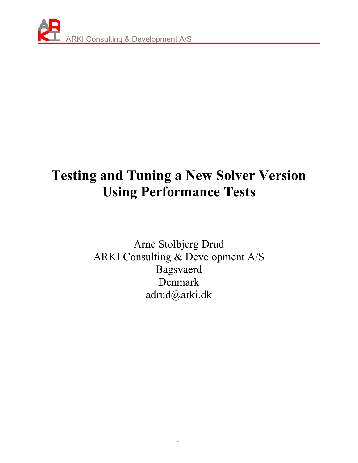

### **Testing and Tuning a New Solver Version Using Performance Tests**

Arne Stolbjerg Drud ARKI Consulting & Development A/S Bagsvaerd Denmark adrud@arki.dk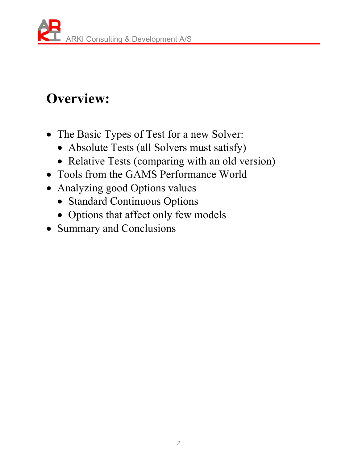# **Overview:**

- The Basic Types of Test for a new Solver:
	- Absolute Tests (all Solvers must satisfy)
	- Relative Tests (comparing with an old version)
- Tools from the GAMS Performance World
- Analyzing good Options values
	- Standard Continuous Options
	- Options that affect only few models
- Summary and Conclusions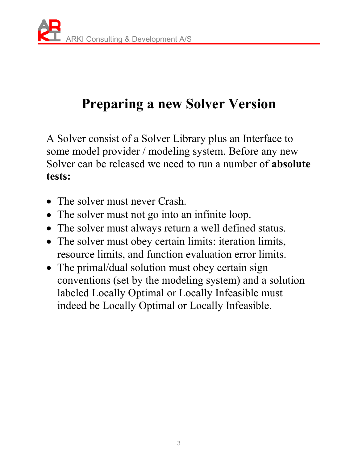# **Preparing a new Solver Version**

A Solver consist of a Solver Library plus an Interface to some model provider / modeling system. Before any new Solver can be released we need to run a number of **absolute tests:** 

- The solver must never Crash.
- The solver must not go into an infinite loop.
- The solver must always return a well defined status.
- The solver must obey certain limits: iteration limits, resource limits, and function evaluation error limits.
- The primal/dual solution must obey certain sign conventions (set by the modeling system) and a solution labeled Locally Optimal or Locally Infeasible must indeed be Locally Optimal or Locally Infeasible.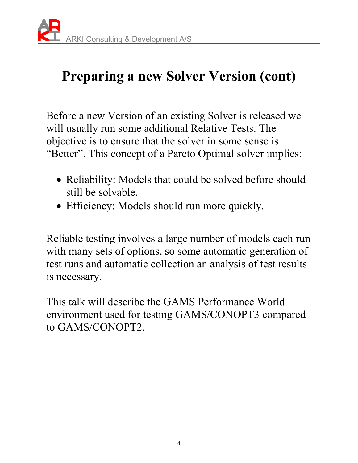# **Preparing a new Solver Version (cont)**

Before a new Version of an existing Solver is released we will usually run some additional Relative Tests. The objective is to ensure that the solver in some sense is "Better". This concept of a Pareto Optimal solver implies:

- Reliability: Models that could be solved before should still be solvable.
- Efficiency: Models should run more quickly.

Reliable testing involves a large number of models each run with many sets of options, so some automatic generation of test runs and automatic collection an analysis of test results is necessary.

This talk will describe the GAMS Performance World environment used for testing GAMS/CONOPT3 compared to GAMS/CONOPT2.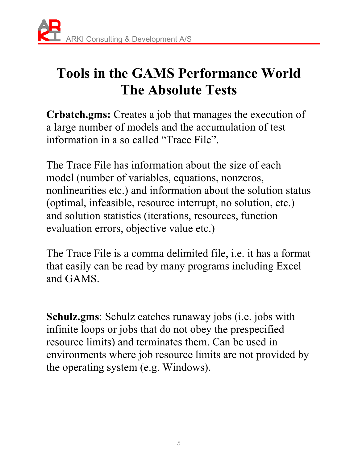

### **Tools in the GAMS Performance World The Absolute Tests**

**Crbatch.gms:** Creates a job that manages the execution of a large number of models and the accumulation of test information in a so called "Trace File".

The Trace File has information about the size of each model (number of variables, equations, nonzeros, nonlinearities etc.) and information about the solution status (optimal, infeasible, resource interrupt, no solution, etc.) and solution statistics (iterations, resources, function evaluation errors, objective value etc.)

The Trace File is a comma delimited file, i.e. it has a format that easily can be read by many programs including Excel and GAMS.

**Schulz.gms**: Schulz catches runaway jobs (i.e. jobs with infinite loops or jobs that do not obey the prespecified resource limits) and terminates them. Can be used in environments where job resource limits are not provided by the operating system (e.g. Windows).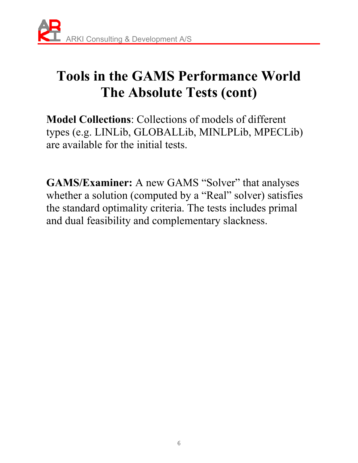# **Tools in the GAMS Performance World The Absolute Tests (cont)**

**Model Collections**: Collections of models of different types (e.g. LINLib, GLOBALLib, MINLPLib, MPECLib) are available for the initial tests.

**GAMS/Examiner:** A new GAMS "Solver" that analyses whether a solution (computed by a "Real" solver) satisfies the standard optimality criteria. The tests includes primal and dual feasibility and complementary slackness.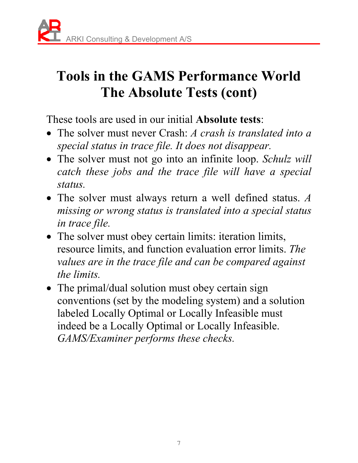# **Tools in the GAMS Performance World The Absolute Tests (cont)**

These tools are used in our initial **Absolute tests**:

- The solver must never Crash: *A crash is translated into a special status in trace file. It does not disappear.*
- The solver must not go into an infinite loop. *Schulz will catch these jobs and the trace file will have a special status.*
- The solver must always return a well defined status. *A missing or wrong status is translated into a special status in trace file.*
- The solver must obey certain limits: iteration limits, resource limits, and function evaluation error limits. *The values are in the trace file and can be compared against the limits.*
- The primal/dual solution must obey certain sign conventions (set by the modeling system) and a solution labeled Locally Optimal or Locally Infeasible must indeed be a Locally Optimal or Locally Infeasible. *GAMS/Examiner performs these checks.*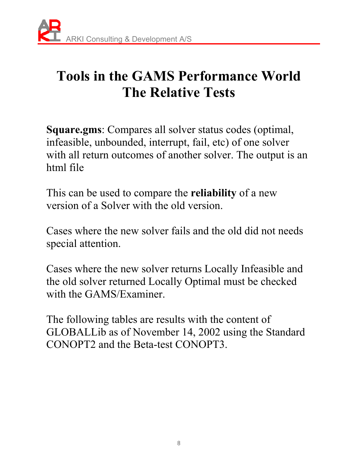

### **Tools in the GAMS Performance World The Relative Tests**

**Square.gms**: Compares all solver status codes (optimal, infeasible, unbounded, interrupt, fail, etc) of one solver with all return outcomes of another solver. The output is an html file

This can be used to compare the **reliability** of a new version of a Solver with the old version.

Cases where the new solver fails and the old did not needs special attention.

Cases where the new solver returns Locally Infeasible and the old solver returned Locally Optimal must be checked with the GAMS/Examiner.

The following tables are results with the content of GLOBALLib as of November 14, 2002 using the Standard CONOPT2 and the Beta-test CONOPT3.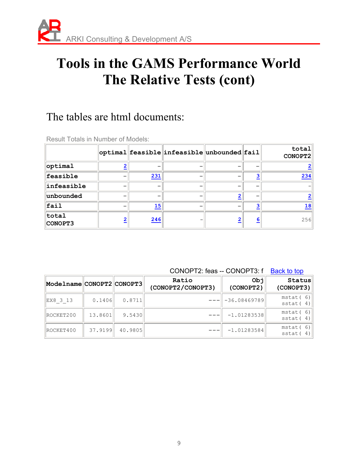### **Tools in the GAMS Performance World The Relative Tests (cont)**

#### The tables are html documents:

|                  |                         |     | optimal feasible infeasible unbounded fail |   | total   |
|------------------|-------------------------|-----|--------------------------------------------|---|---------|
|                  |                         |     |                                            |   | CONOPT2 |
| optimal          |                         |     |                                            |   |         |
| feasible         |                         | 231 |                                            |   | 234     |
| infeasible       |                         |     |                                            |   |         |
| unbounded        |                         |     |                                            |   |         |
| fail             |                         | 15  |                                            |   | 18      |
| total<br>CONOPT3 | $\overline{\mathbf{2}}$ | 246 |                                            | 6 | 256     |

Result Totals in Number of Models:

CONOPT2: feas -- CONOPT3: f Back to top

| Modelname CONOPT2 CONOPT3 |         |         | Ratio<br>(CONOPT2/CONOPT3) | Obj<br>(CONOPT2)         | Status<br>(CONOPT3)     |
|---------------------------|---------|---------|----------------------------|--------------------------|-------------------------|
| EX8 3 13                  | 0.1406  | 0.8711  |                            | $\parallel$ -36.08469789 | mstat(6)<br>sstat $(4)$ |
| ROCKET200                 | 13.8601 | 9.5430  |                            | $-1.01283538$            | mstat(6)<br>sstat $(4)$ |
| ROCKET400                 | 37.9199 | 40.9805 |                            | $-1.01283584$            | mstat(6)<br>sstat $(4)$ |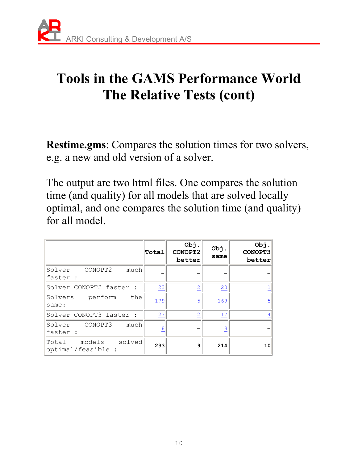# **Tools in the GAMS Performance World The Relative Tests (cont)**

**Restime.gms**: Compares the solution times for two solvers, e.g. a new and old version of a solver.

The output are two html files. One compares the solution time (and quality) for all models that are solved locally optimal, and one compares the solution time (and quality) for all model.

|                                                   | Total | Obj.<br>CONOPT2<br>better | Obj.<br>same | Obj.<br>CONOPT3<br>better |
|---------------------------------------------------|-------|---------------------------|--------------|---------------------------|
| Solver<br>CONOPT2<br>much<br>faster :             |       |                           |              |                           |
| Solver CONOPT2 faster :                           | 23    | $\overline{2}$            | 20           |                           |
| the<br>Solvers<br>perform<br>same:                | 179   | $\overline{5}$            | 169          | 5                         |
| Solver CONOPT3 faster :                           | 23    | $\overline{2}$            | 17           |                           |
| CONOPT3<br>much<br>Solver<br>faster :             | 8     |                           | 8            |                           |
| solved<br>models<br> Total<br> optimal/feasible : | 233   | 9                         | 214          | 10                        |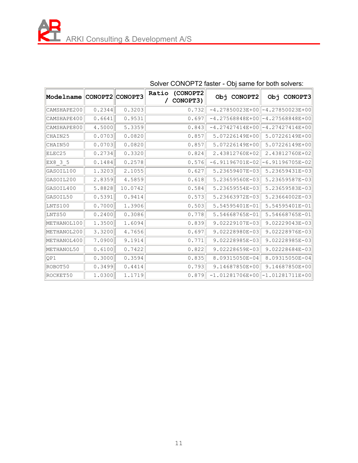| Modelname CONOPT2 CONOPT3 |        |         | (CONOPT2<br>Ratio<br>CONOPT3) | Obj CONOPT2       | Obj<br>CONOPT3                      |
|---------------------------|--------|---------|-------------------------------|-------------------|-------------------------------------|
| CAMSHAPE200               | 0.2344 | 0.3203  | 0.732                         | $-4.27850023E+00$ | -4.27850023E+00                     |
| CAMSHAPE400               | 0.6641 | 0.9531  | 0.697                         |                   | $-4.27568848E+00$   -4.27568848E+00 |
| CAMSHAPE800               | 4.5000 | 5.3359  | 0.843                         | $-4.27427414E+00$ | $-4.27427414E+00$                   |
| CHAIN25                   | 0.0703 | 0.0820  | 0.857                         | 5.07226149E+00    | 5.07226149E+00                      |
| CHAIN50                   | 0.0703 | 0.0820  | 0.857                         | 5.07226149E+00    | 5.07226149E+00                      |
| ELEC25                    | 0.2734 | 0.3320  | 0.824                         | 2.43812760E+02    | 2.43812760E+02                      |
| EX8 3 5                   | 0.1484 | 0.2578  | 0.576                         | $-6.91196701E-02$ | $-6.91196705E-02$                   |
| GASOIL100                 | 1.3203 | 2.1055  | 0.627                         | 5.23659407E-03    | 5.23659431E-03                      |
| GASOIL200                 | 2.8359 | 4.5859  | 0.618                         | 5.23659560E-03    | 5.23659587E-03                      |
| GASOIL400                 | 5.8828 | 10.0742 | 0.584                         | 5.23659554E-03    | 5.23659583E-03                      |
| GASOIL50                  | 0.5391 | 0.9414  | 0.573                         | 5.23663972E-03    | 5.23664002E-03                      |
| LNTS100                   | 0.7000 | 1.3906  | 0.503                         | 5.54595401E-01    | 5.54595401E-01                      |
| LNTS50                    | 0.2400 | 0.3086  | 0.778                         | 5.54668765E-01    | 5.54668765E-01                      |
| METHANOL100               | 1.3500 | 1.6094  | 0.839                         | 9.02229107E-03    | 9.02229043E-03                      |
| METHANOL200               | 3.3200 | 4.7656  | 0.697                         | 9.02228980E-03    | 9.02228976E-03                      |
| METHANOL400               | 7.0900 | 9.1914  | 0.771                         | 9.02228985E-03    | 9.02228985E-03                      |
| METHANOL50                | 0.6100 | 0.7422  | 0.822                         | 9.02228659E-03    | 9.02228684E-03                      |
| OP1                       | 0.3000 | 0.3594  | 0.835                         | 8.09315050E-04    | 8.09315050E-04                      |
| ROBOT50                   | 0.3499 | 0.4414  | 0.793                         | 9.14687850E+00    | 9.14687850E+00                      |
| ROCKET50                  | 1.0300 | 1.1719  | 0.879                         | $-1.01281706E+00$ | $-1.01281711E+00$                   |

#### Solver CONOPT2 faster - Obj same for both solvers: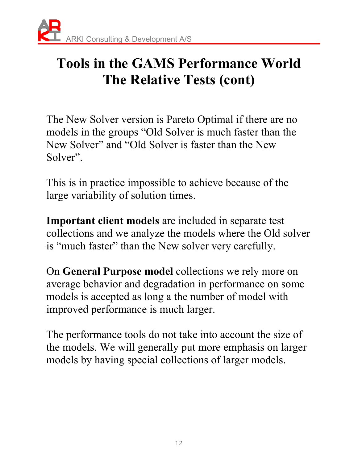### **Tools in the GAMS Performance World The Relative Tests (cont)**

The New Solver version is Pareto Optimal if there are no models in the groups "Old Solver is much faster than the New Solver" and "Old Solver is faster than the New Solver".

This is in practice impossible to achieve because of the large variability of solution times.

**Important client models** are included in separate test collections and we analyze the models where the Old solver is "much faster" than the New solver very carefully.

On **General Purpose model** collections we rely more on average behavior and degradation in performance on some models is accepted as long a the number of model with improved performance is much larger.

The performance tools do not take into account the size of the models. We will generally put more emphasis on larger models by having special collections of larger models.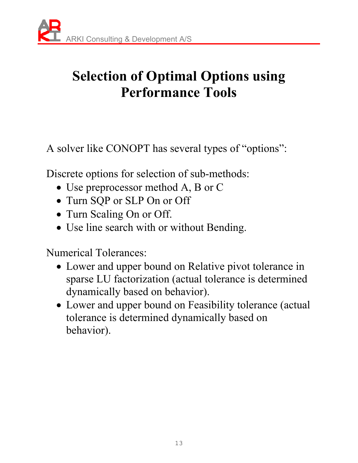# **Selection of Optimal Options using Performance Tools**

A solver like CONOPT has several types of "options":

Discrete options for selection of sub-methods:

- Use preprocessor method A, B or C
- Turn SQP or SLP On or Off
- Turn Scaling On or Off.
- Use line search with or without Bending.

Numerical Tolerances:

- Lower and upper bound on Relative pivot tolerance in sparse LU factorization (actual tolerance is determined dynamically based on behavior).
- Lower and upper bound on Feasibility tolerance (actual tolerance is determined dynamically based on behavior).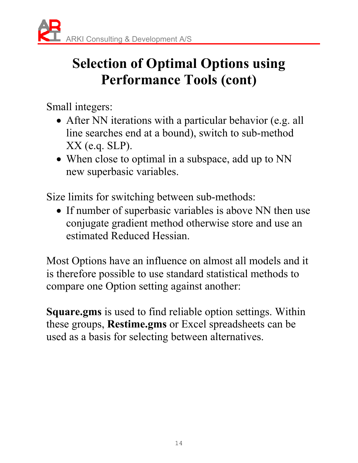# **Selection of Optimal Options using Performance Tools (cont)**

Small integers:

- After NN iterations with a particular behavior (e.g. all line searches end at a bound), switch to sub-method XX (e.q. SLP).
- When close to optimal in a subspace, add up to NN new superbasic variables.

Size limits for switching between sub-methods:

• If number of superbasic variables is above NN then use conjugate gradient method otherwise store and use an estimated Reduced Hessian.

Most Options have an influence on almost all models and it is therefore possible to use standard statistical methods to compare one Option setting against another:

**Square.gms** is used to find reliable option settings. Within these groups, **Restime.gms** or Excel spreadsheets can be used as a basis for selecting between alternatives.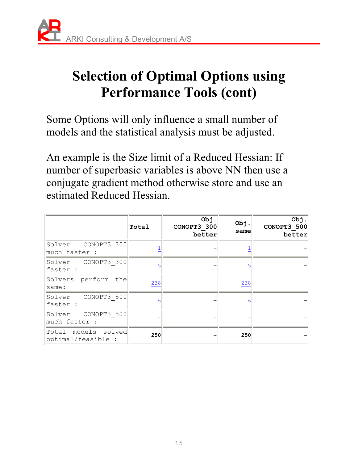## **Selection of Optimal Options using Performance Tools (cont)**

Some Options will only influence a small number of models and the statistical analysis must be adjusted.

An example is the Size limit of a Reduced Hessian: If number of superbasic variables is above NN then use a conjugate gradient method otherwise store and use an estimated Reduced Hessian.

|                                           | Total          | Obj.<br>CONOPT3 300<br>better | Obj.<br>same | Obj.<br>CONOPT3 500<br>better |
|-------------------------------------------|----------------|-------------------------------|--------------|-------------------------------|
| CONOPT3 300<br>Solver<br>much faster :    |                |                               |              |                               |
| Solver CONOPT3 300<br>faster :            | $\overline{5}$ |                               | 5            |                               |
| Solvers perform the<br>same:              | 238            |                               | 238          |                               |
| CONOPT3 500<br>Solver<br>faster :         | 6              |                               | 6            |                               |
| Solver CONOPT3 500<br>much faster :       |                |                               |              |                               |
| Total models solved<br>optimal/feasible : | 250            |                               | 250          |                               |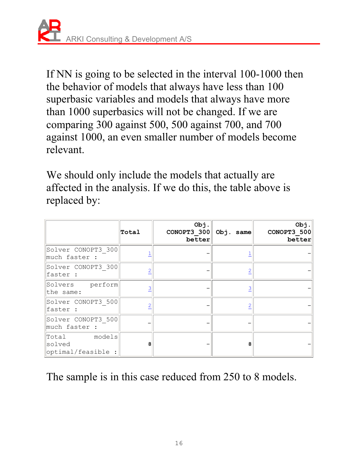If NN is going to be selected in the interval 100-1000 then the behavior of models that always have less than 100 superbasic variables and models that always have more than 1000 superbasics will not be changed. If we are comparing 300 against 500, 500 against 700, and 700 against 1000, an even smaller number of models become relevant.

We should only include the models that actually are affected in the analysis. If we do this, the table above is replaced by:

|                                              | Total | Obj.<br>CONOPT3 300<br>better | Obj. same | Obj.<br>CONOPT3 500<br>better |
|----------------------------------------------|-------|-------------------------------|-----------|-------------------------------|
| Solver CONOPT3 300<br>much faster :          |       |                               |           |                               |
| Solver CONOPT3 300<br>faster :               |       |                               |           |                               |
| Solvers perform<br>the same:                 | 3     |                               |           |                               |
| Solver CONOPT3 500<br>faster :               |       |                               |           |                               |
| Solver CONOPT3 500<br>much faster :          |       |                               |           |                               |
| Total models<br>solved<br>optimal/feasible : | 8     |                               | 8         |                               |

The sample is in this case reduced from 250 to 8 models.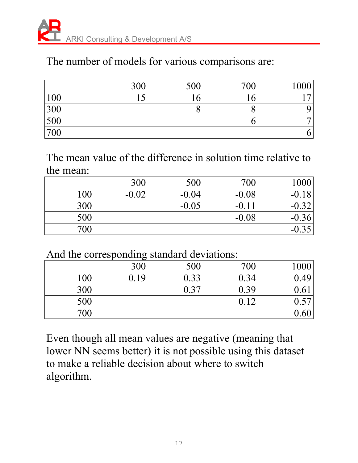### The number of models for various comparisons are:

|            | 300 | 500 | 700 | 1000           |
|------------|-----|-----|-----|----------------|
| <u>100</u> | 1 C | 16  |     | $\overline{ }$ |
| 300        |     |     |     |                |
| 500        |     |     |     |                |
| 700        |     |     |     | O.             |

The mean value of the difference in solution time relative to the mean:

|     | 300     | 500     | 700     | 1000    |
|-----|---------|---------|---------|---------|
| 100 | $-0.02$ | $-0.04$ | $-0.08$ | $-0.18$ |
| 300 |         | $-0.05$ | $-0.11$ | $-0.32$ |
| 500 |         |         | $-0.08$ | $-0.36$ |
| 700 |         |         |         | $-0.35$ |

And the corresponding standard deviations:

|     | —                                           |      |      |               |
|-----|---------------------------------------------|------|------|---------------|
|     | 300                                         | 500  | 700  | 1000          |
| 100 | $J.19$ <sup><math>\overline{ }</math></sup> | 0.33 | 0.34 | 0.49          |
| 300 |                                             | 0.37 | 0.39 | $0.6^{\circ}$ |
| 500 |                                             |      |      | 0.57          |
| 700 |                                             |      |      | 0.60          |

Even though all mean values are negative (meaning that lower NN seems better) it is not possible using this dataset to make a reliable decision about where to switch algorithm.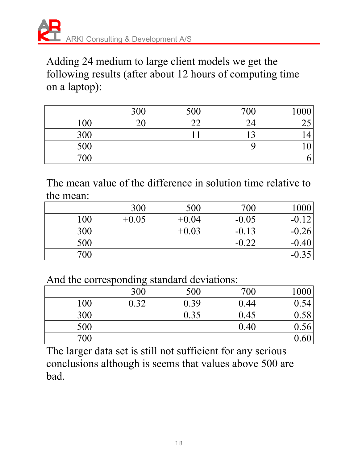

Adding 24 medium to large client models we get the following results (after about 12 hours of computing time on a laptop):

|     | 300            | 500    | 700     | 1000          |
|-----|----------------|--------|---------|---------------|
| 100 | $\Omega$<br>∠∪ | $\cap$ | ◠<br>24 | $\cap$<br>ں ت |
| 300 |                |        | ◠       |               |
| 500 |                |        |         |               |
| 700 |                |        |         | O             |

The mean value of the difference in solution time relative to the mean:

|     | 300     | 500     | 700     | 1000    |
|-----|---------|---------|---------|---------|
| 100 | $+0.05$ | $+0.04$ | $-0.05$ | $-0.12$ |
| 300 |         | $+0.03$ | $-0.13$ | $-0.26$ |
| 500 |         |         | $-0.22$ | $-0.40$ |
| 700 |         |         |         | $-0.35$ |

And the corresponding standard deviations:

|     | 300 | 500  | 700  | 1000 |
|-----|-----|------|------|------|
| 100 | .32 | 0.39 | 0.44 | 0.54 |
| 300 |     | 0.35 | 0.45 | 0.58 |
| 500 |     |      | 0.40 | 0.56 |
| 700 |     |      |      | 0.60 |

The larger data set is still not sufficient for any serious conclusions although is seems that values above 500 are bad.